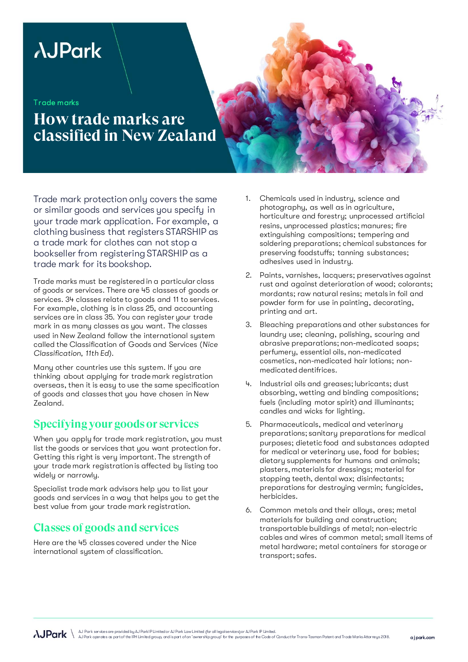# **AJPark**

Trade marks

## **How trade marks are classified in New Zealand**

Trade mark protection only covers the same or similar goods and services you specify in your trade mark application. For example, a clothing business that registers STARSHIP as a trade mark for clothes can not stop a bookseller from registering STARSHIP as a trade mark for its bookshop.

Trade marks must be registered in a particular class of goods or services. There are 45 classes of goods or services. 34 classes relate to goods and 11 to services. For example, clothing is in class 25, and accounting services are in class 35. You can register your trade mark in as many classes as you want. The classes used in New Zealand follow the international system called the Classification of Goods and Services (*Nice Classification, 11th Ed*).

Many other countries use this system. If you are thinking about applying for trade mark registration overseas, then it is easy to use the same specification of goods and classes that you have chosen in New Zealand.

#### **Specifying your goods or services**

When you apply for trade mark registration, you must list the goods or services that you want protection for. Getting this right is very important. The strength of your trade mark registration is affected by listing too widely or narrowly.

Specialist trade mark advisors help you to list your goods and services in a way that helps you to get the best value from your trade mark registration.

### **Classes of goods and services**

Here are the 45 classes covered under the Nice international system of classification.

- Chemicals used in industry, science and photography, as well as in agriculture, horticulture and forestry; unprocessed artificial resins, unprocessed plastics; manures; fire extinguishing compositions; tempering and soldering preparations; chemical substances for preserving foodstuffs; tanning substances; adhesives used in industry.
- 2. Paints, varnishes, lacquers; preservatives against rust and against deterioration of wood; colorants; mordants; raw natural resins; metals in foil and powder form for use in painting, decorating, printing and art.
- 3. Bleaching preparations and other substances for laundry use; cleaning, polishing, scouring and abrasive preparations; non-medicated soaps; perfumery, essential oils, non-medicated cosmetics, non-medicated hair lotions; nonmedicated dentifrices.
- 4. Industrial oils and greases; lubricants; dust absorbing, wetting and binding compositions; fuels (including motor spirit) and illuminants; candles and wicks for lighting.
- 5. Pharmaceuticals, medical and veterinary preparations; sanitary preparations for medical purposes; dietetic food and substances adapted for medical or veterinary use, food for babies; dietary supplements for humans and animals; plasters, materials for dressings; material for stopping teeth, dental wax; disinfectants; preparations for destroying vermin; fungicides, herbicides.
- 6. Common metals and their alloys, ores; metal materials for building and construction; transportable buildings of metal; non-electric cables and wires of common metal; small items of metal hardware; metal containers for storage or transport; safes.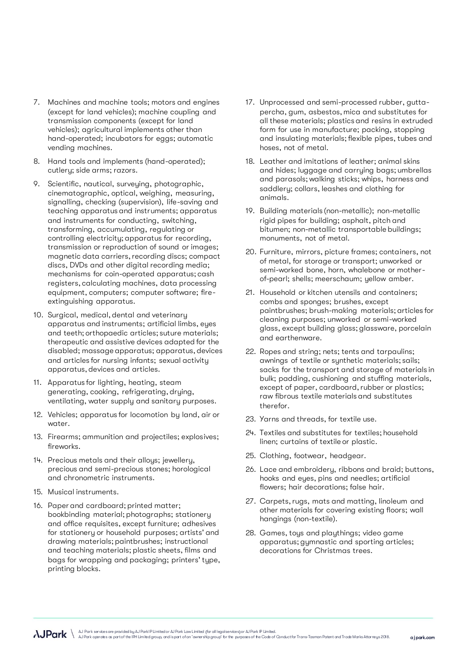- 7. Machines and machine tools; motors and engines (except for land vehicles); machine coupling and transmission components (except for land vehicles); agricultural implements other than hand-operated; incubators for eggs; automatic vending machines.
- 8. Hand tools and implements (hand-operated); cutlery; side arms; razors.
- 9. Scientific, nautical, surveying, photographic, cinematographic, optical, weighing, measuring, signalling, checking (supervision), life-saving and teaching apparatus and instruments; apparatus and instruments for conducting, switching, transforming, accumulating, regulating or controlling electricity; apparatus for recording, transmission or reproduction of sound or images; magnetic data carriers, recording discs; compact discs, DVDs and other digital recording media; mechanisms for coin-operated apparatus; cash registers, calculating machines, data processing equipment, computers; computer software; fireextinguishing apparatus.
- 10. Surgical, medical, dental and veterinary apparatus and instruments; artificial limbs, eyes and teeth; orthopaedic articles; suture materials; therapeutic and assistive devices adapted for the disabled; massage apparatus; apparatus, devices and articles for nursing infants; sexual activity apparatus, devices and articles.
- 11. Apparatus for lighting, heating, steam generating, cooking, refrigerating, drying, ventilating, water supply and sanitary purposes.
- 12. Vehicles; apparatus for locomotion by land, air or water.
- 13. Firearms; ammunition and projectiles; explosives; fireworks.
- 14. Precious metals and their alloys; jewellery, precious and semi-precious stones; horological and chronometric instruments.
- 15. Musical instruments.
- 16. Paper and cardboard; printed matter; bookbinding material; photographs; stationery and office requisites, except furniture; adhesives for stationery or household purposes; artists' and drawing materials; paintbrushes; instructional and teaching materials; plastic sheets, films and bags for wrapping and packaging; printers' type, printing blocks.
- 17. Unprocessed and semi-processed rubber, guttapercha, gum, asbestos, mica and substitutes for all these materials; plastics and resins in extruded form for use in manufacture; packing, stopping and insulating materials; flexible pipes, tubes and hoses, not of metal.
- 18. Leather and imitations of leather; animal skins and hides; luggage and carrying bags; umbrellas and parasols; walking sticks; whips, harness and saddlery; collars, leashes and clothing for animals.
- 19. Building materials (non-metallic); non-metallic rigid pipes for building; asphalt, pitch and bitumen; non-metallic transportable buildings; monuments, not of metal.
- 20. Furniture, mirrors, picture frames; containers, not of metal, for storage or transport; unworked or semi-worked bone, horn, whalebone or motherof-pearl; shells; meerschaum; yellow amber.
- 21. Household or kitchen utensils and containers; combs and sponges; brushes, except paintbrushes; brush-making materials; articles for cleaning purposes; unworked or semi-worked glass, except building glass; glassware, porcelain and earthenware.
- 22. Ropes and string; nets; tents and tarpaulins; awnings of textile or synthetic materials; sails; sacks for the transport and storage of materials in bulk; padding, cushioning and stuffing materials, except of paper, cardboard, rubber or plastics; raw fibrous textile materials and substitutes therefor.
- 23. Yarns and threads, for textile use.
- 24. Textiles and substitutes for textiles; household linen; curtains of textile or plastic.
- 25. Clothing, footwear, headgear.
- 26. Lace and embroidery, ribbons and braid; buttons, hooks and eyes, pins and needles; artificial flowers; hair decorations; false hair.
- 27. Carpets, rugs, mats and matting, linoleum and other materials for covering existing floors; wall hangings (non-textile).
- 28. Games, toys and playthings; video game apparatus; gymnastic and sporting articles; decorations for Christmas trees.